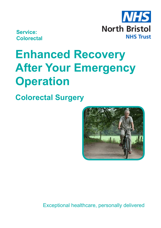

**Service: Colorectal**

# **Enhanced Recovery After Your Emergency Operation**

**Colorectal Surgery**



Exceptional healthcare, personally delivered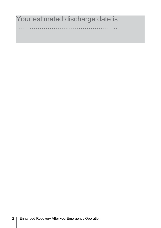# Your estimated discharge date is

...................................................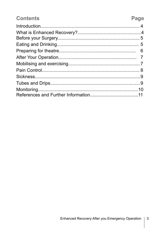### **Contents**

## Page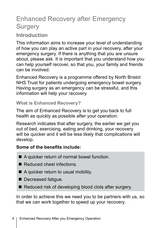# Enhanced Recovery after Emergency **Surgery**

### **Introduction**

This information aims to increase your level of understanding of how you can play an active part in your recovery, after your emergency surgery. If there is anything that you are unsure about, please ask. It is important that you understand how you can help yourself recover, so that you, your family and friends can be involved.

Enhanced Recovery is a programme offered by North Bristol NHS Trust for patients undergoing emergency bowel surgery. Having surgery as an emergency can be stressful, and this information will help your recovery.

#### **What is Enhanced Recovery?**

The aim of Enhanced Recovery is to get you back to full health as quickly as possible after your operation.

Research indicates that after surgery, the earlier we get you out of bed, exercising, eating and drinking, your recovery will be quicker and it will be less likely that complications will develop.

#### **Some of the benefits include:**

- $\blacksquare$  A quicker return of normal bowel function.
- $\blacksquare$  Reduced chest infections.
- $\blacksquare$  A quicker return to usual mobility.
- Decreased fatigue.
- $\blacksquare$  Reduced risk of developing blood clots after surgery.

In order to achieve this we need you to be partners with us, so that we can work together to speed up your recovery.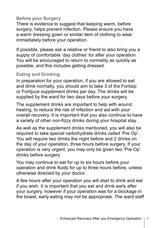#### **Before your Surgery**

There is evidence to suggest that keeping warm, before surgery, helps prevent infection. Please ensure you have a warm dressing gown or similar item of clothing to wear immediately before your operation.

If possible, please ask a relative or friend to also bring you a supply of comfortable 'day clothes' for after your operation. You will be encouraged to return to normality as quickly as possible, and this includes getting dressed.

#### **Eating and Drinking**

In preparation for your operation, if you are allowed to eat and drink normally, you should aim to take 3 of the Fortisip or Fortijuce supplement drinks per day. The drinks will be supplied by the ward for two days before your surgery.

The supplement drinks are important to help with wound healing, to reduce the risk of infection and aid with your overall recovery. It is important that you also continue to have a variety of other non-fizzy drinks during your hospital stay.

As well as the supplement drinks mentioned, you will also be required to take special carbohydrate drinks called 'Pre Op'. You will require two drinks the night before and 2 drinks on the day of your operation, three hours before surgery. If your operation is very urgent, you may only be given two 'Pre Op' drinks before surgery.

You may continue to eat for up to six hours before your operation and drink fluids for up to three hours before, unless otherwise directed by your doctor.

A few hours after your operation you will start to drink and eat if you wish. It is important that you eat and drink early after your surgery, however if your operation was for a blockage in the bowel, early eating may not be appropriate. The ward staff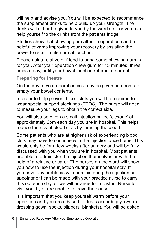will help and advise you. You will be expected to recommence the supplement drinks to help build up your strength. The drinks will either be given to you by the ward staff or you can help yourself to the drinks from the patients fridge.

Studies show that chewing gum after an operation can be helpful towards improving your recovery by assisting the bowel to return to its normal function.

Please ask a relative or friend to bring some chewing gum in for you. After your operation chew gum for 15 minutes, three times a day, until your bowel function returns to normal.

#### **Preparing for theatre**

On the day of your operation you may be given an enema to empty your bowel contents.

In order to help prevent blood clots you will be required to wear special support stockings (TEDS). The nurse will need to measure your legs to obtain the correct size.

You will also be given a small injection called 'clexane' at approximately 6pm each day you are in hospital. This helps reduce the risk of blood clots by thinning the blood.

Some patients who are at higher risk of experiencing blood clots may have to continue with the injection once home. This would only be for a few weeks after surgery and will be fully discussed with you when you are in hospital. Most patients are able to administer the injection themselves or with the help of a relative or carer. The nurses on the ward will show you how to use the injection during your hospital stay. If you have any problems with administering the injection an appointment can be made with your practice nurse to carry this out each day, or we will arrange for a District Nurse to visit you if you are unable to leave the house.

It is important that you keep yourself warm before your operation and you are advised to dress accordingly, (warm dressing gown, socks, slippers, blankets). You will be asked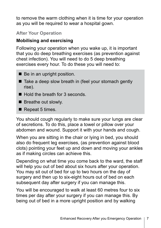to remove the warm clothing when it is time for your operation as you will be required to wear a hospital gown.

#### **After Your Operation**

#### **Mobilising and exercising**

Following your operation when you wake up, it is important that you do deep breathing exercises (as prevention against chest infection). You will need to do 5 deep breathing exercises every hour. To do these you will need to:

- $\blacksquare$  Be in an upright position.
- Take a deep slow breath in (feel your stomach gently rise).
- $\blacksquare$  Hold the breath for 3 seconds.
- $\blacksquare$  Breathe out slowly.
- $\blacksquare$  Repeat 5 times.

You should cough regularly to make sure your lungs are clear of secretions. To do this, place a towel or pillow over your abdomen and wound. Support it with your hands and cough.

When you are sitting in the chair or lying in bed, you should also do frequent leg exercises, (as prevention against blood clots) pointing your feet up and down and moving your ankles as if making circles can achieve this.

Depending on what time you come back to the ward, the staff will help you out of bed about six hours after your operation. You may sit out of bed for up to two hours on the day of surgery and then up to six-eight hours out of bed on each subsequent day after surgery if you can manage this.

You will be encouraged to walk at least 60 metres four to six times per day after your surgery if you can manage this. By being out of bed in a more upright position and by walking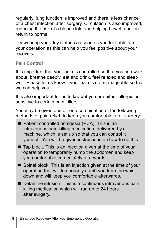regularly, lung function is improved and there is less chance of a chest infection after surgery. Circulation is also improved, reducing the risk of a blood clots and helping bowel function return to normal.

Try wearing your day clothes as soon as you feel able after your operation as this can help you feel positive about your recovery.

**Pain Control**

It is important that your pain is controlled so that you can walk about, breathe deeply, eat and drink, feel relaxed and sleep well. Please let us know if your pain is not manageable so that we can help you.

It is also important for us to know if you are either allergic or sensitive to certain pain killers.

You may be given one of, or a combination of the following methods of pain relief, to keep you comfortable after surgery:

- $\blacksquare$  Patient controlled analgesia (PCA). This is an intravenous pain killing medication, delivered by a machine, which is set up so that you can control it yourself. You will be given instructions on how to do this.
- $\blacksquare$  Tap block. This is an injection given at the time of your operation to temporarily numb the abdomen and keep you comfortable immediately afterwards.
- $\blacksquare$  Spinal block. This is an injection given at the time of your operation that will temporarily numb you from the waist down and will keep you comfortable afterwards.
- $\blacksquare$  Ketamine infusion. This is a continuous intravenous pain killing medication which will run up to 24 hours after surgery.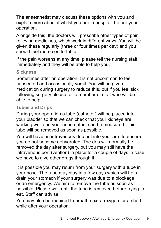The anaesthetist may discuss these options with you and explain more about it whilst you are in hospital, before your operation.

Alongside this, the doctors will prescribe other types of pain relieving medicines, which work in different ways. You will be given these regularly (three or four times per day) and you should feel more comfortable.

If the pain worsens at any time, please tell the nursing staff immediately and they will be able to help you.

#### **Sickness**

Sometimes after an operation it is not uncommon to feel nauseated and occasionally vomit. You will be given medication during surgery to reduce this, but if you feel sick following surgery please tell a member of staff who will be able to help.

#### **Tubes and Drips**

During your operation a tube (catheter) will be placed into your bladder so that we can check that your kidneys are working well and your urine output can be measured. This tube will be removed as soon as possible.

You will have an intravenous drip put into your arm to ensure you do not become dehydrated. The drip will normally be removed the day after surgery, but you may still have the intravenous port (venflon) in place for a couple of days in case we have to give other drugs through it.

It is possible you may return from your surgery with a tube in your nose. The tube may stay in a few days which will help drain your stomach if your surgery was due to a blockage or an emergency. We aim to remove the tube as soon as possible. Please wait until the tube is removed before trying to eat. Staff can advise.

You may also be required to breathe extra oxygen for a short while after your operation.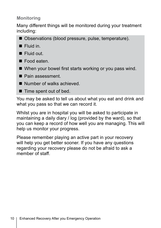#### **Monitoring**

Many different things will be monitored during your treatment including:

- Observations (blood pressure, pulse, temperature).
- $\blacksquare$  Fluid in.
- **n** Fluid out.
- $\blacksquare$  Food eaten.
- $\blacksquare$  When your bowel first starts working or you pass wind.
- Pain assessment.
- Number of walks achieved.
- $\blacksquare$  Time spent out of bed.

You may be asked to tell us about what you eat and drink and what you pass so that we can record it.

Whilst you are in hospital you will be asked to participate in maintaining a daily diary / log (provided by the ward), so that you can keep a record of how well you are managing. This will help us monitor your progress.

Please remember playing an active part in your recovery will help you get better sooner. If you have any questions regarding your recovery please do not be afraid to ask a member of staff.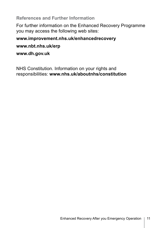**References and Further Information**

For further information on the Enhanced Recovery Programme you may access the following web sites:

#### **www.improvement.nhs.uk/enhancedrecovery**

#### **www.nbt.nhs.uk/erp**

**www.dh.gov.uk**

NHS Constitution. Information on your rights and responsibilities: **www.nhs.uk/aboutnhs/constitution**